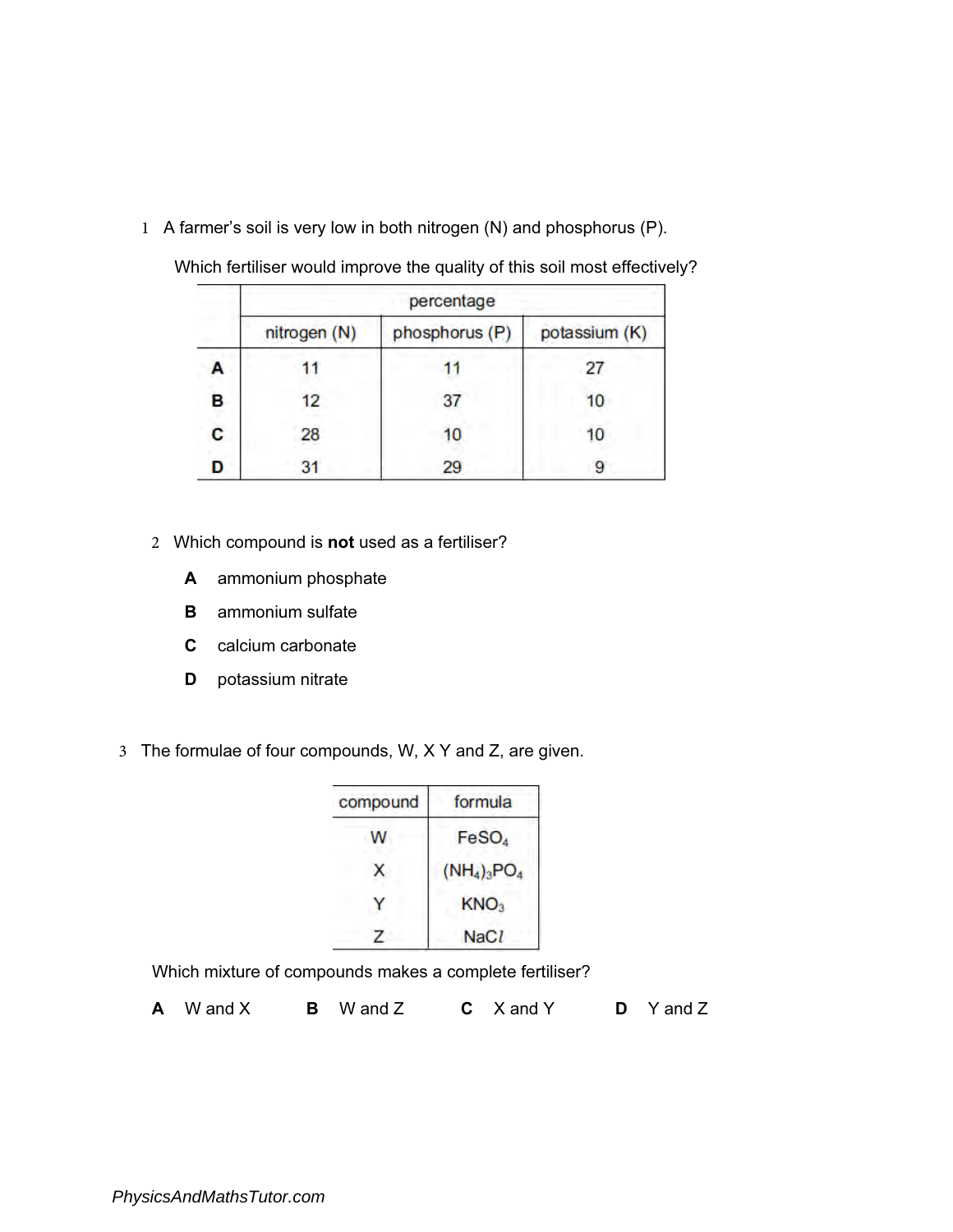1 A farmer's soil is very low in both nitrogen (N) and phosphorus (P).

|   | percentage   |                |               |
|---|--------------|----------------|---------------|
|   | nitrogen (N) | phosphorus (P) | potassium (K) |
| А |              |                |               |
| B | 12           | 37             | 10            |
| C | 28           | 10             | 10            |
|   | 31           | 29             | g             |

Which fertiliser would improve the quality of this soil most effectively?

- 2 Which compound is **not** used as a fertiliser?
	- A ammonium phosphate
	- **B** ammonium sulfate
	- C calcium carbonate
	- **D** potassium nitrate
- 3 The formulae of four compounds, W, X Y and Z, are given.

| compound | formula           |
|----------|-------------------|
| W        | FeSO <sub>4</sub> |
| x        | $(NH_4)_3PO_4$    |
|          | KNO <sub>3</sub>  |
|          | <b>NaCl</b>       |

Which mixture of compounds makes a complete fertiliser?

A W and X B W and Z C X and Y D Y and Z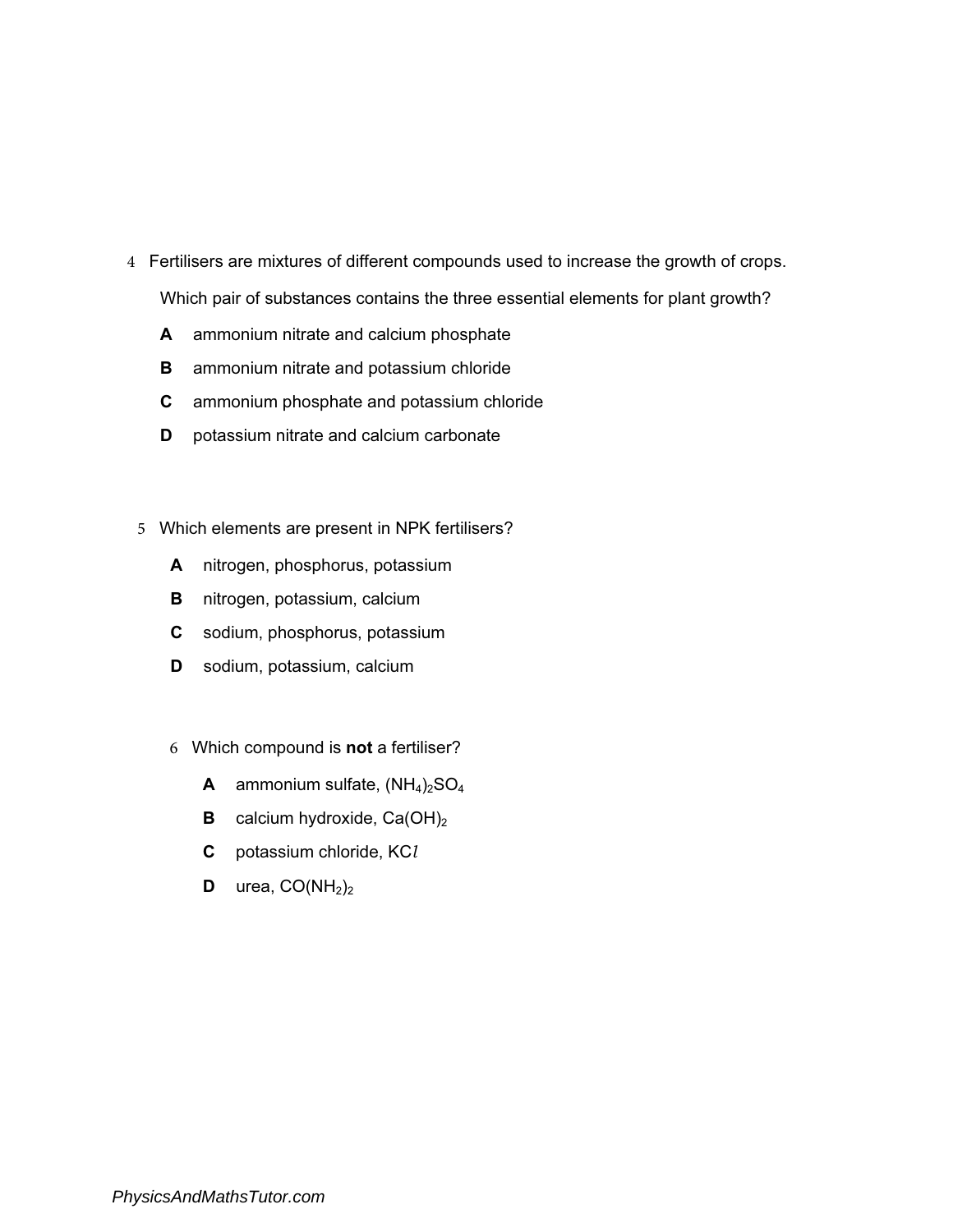- 4 Fertilisers are mixtures of different compounds used to increase the growth of crops. Which pair of substances contains the three essential elements for plant growth?
	- A ammonium nitrate and calcium phosphate
	- **B** ammonium nitrate and potassium chloride
	- C ammonium phosphate and potassium chloride
	- **D** potassium nitrate and calcium carbonate
- 5 Which elements are present in NPK fertilisers?
	- A nitrogen, phosphorus, potassium
	- **B** nitrogen, potassium, calcium
	- C sodium, phosphorus, potassium
	- D sodium, potassium, calcium
	- 6 Which compound is not a fertiliser?
		- **A** ammonium sulfate,  $(NH_4)_2SO_4$
		- **B** calcium hydroxide,  $Ca(OH)_2$
		- C potassium chloride, KC*l*
		- **D** urea,  $CO(NH<sub>2</sub>)<sub>2</sub>$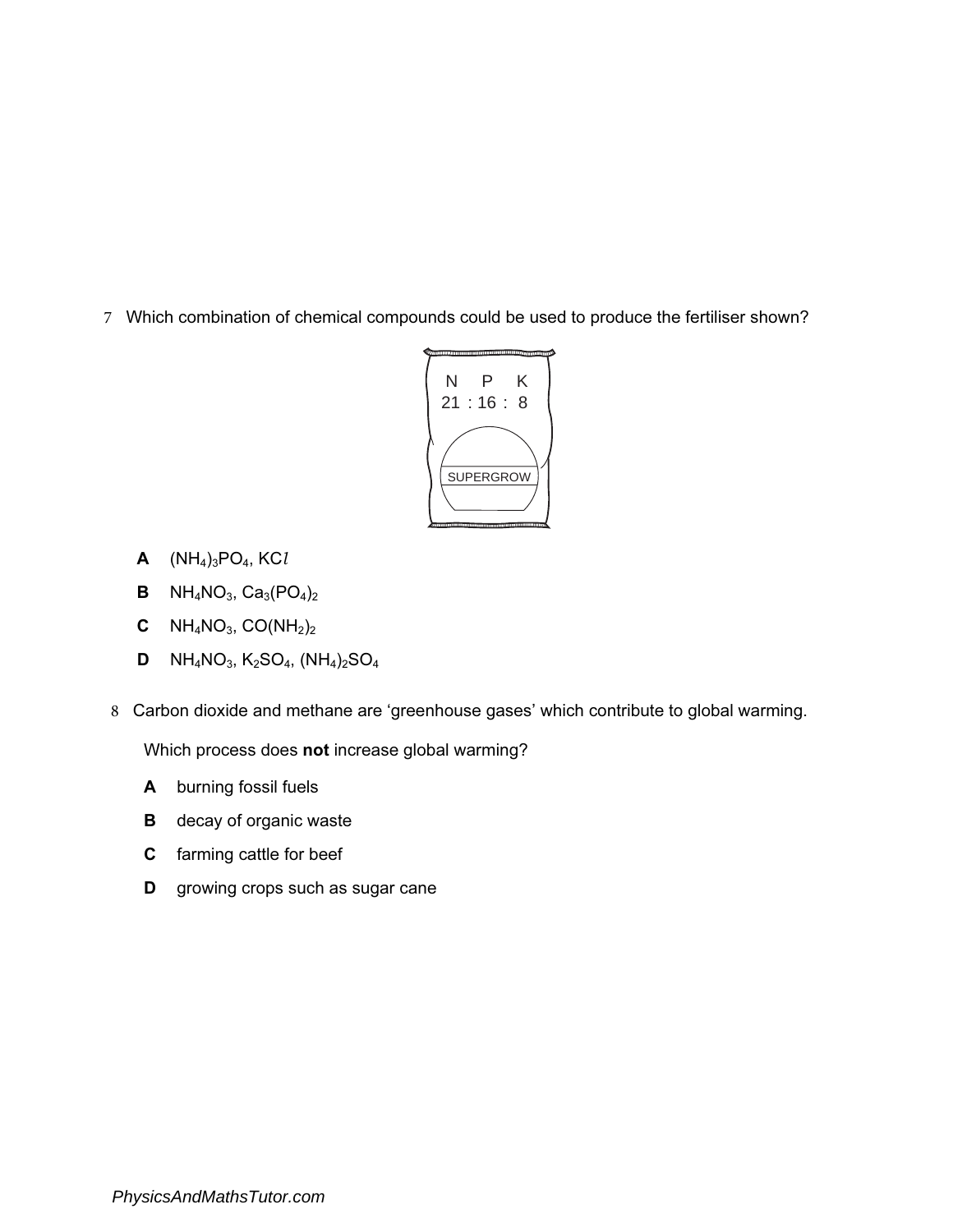7 Which combination of chemical compounds could be used to produce the fertiliser shown?



- A (NH4)3PO4, KC*l*
- **B**  $NH_4NO_3$ ,  $Ca_3(PO_4)_2$
- **C**  $NH_4NO_3$ ,  $CO(NH_2)_2$
- **D**  $NH_4NO_3$ ,  $K_2SO_4$ ,  $(NH_4)_2SO_4$
- 8 Carbon dioxide and methane are 'greenhouse gases' which contribute to global warming.

Which process does not increase global warming?

- A burning fossil fuels
- **B** decay of organic waste
- C farming cattle for beef
- **D** growing crops such as sugar cane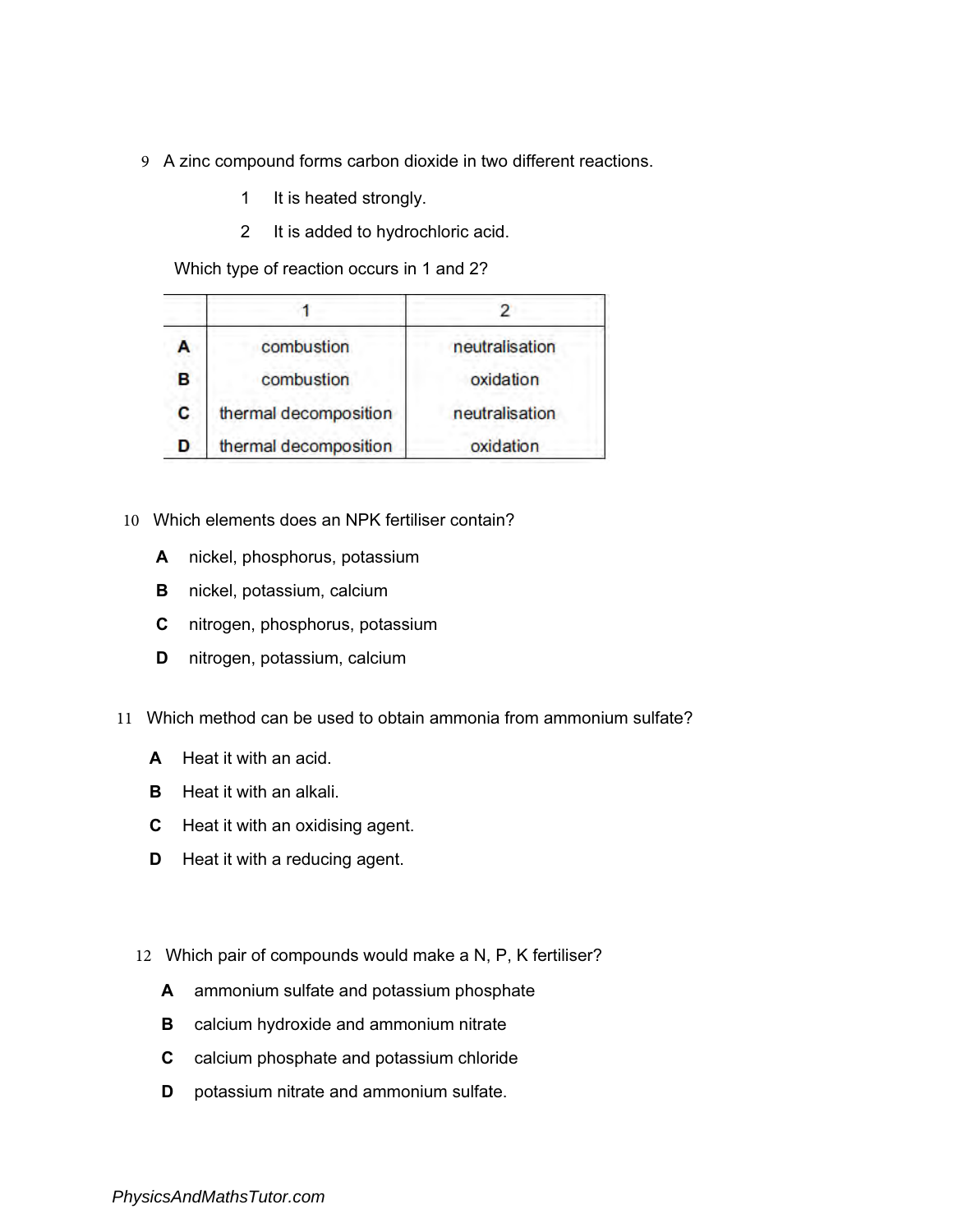- 9 A zinc compound forms carbon dioxide in two different reactions.
	- 1 It is heated strongly.
	- 2 It is added to hydrochloric acid.

Which type of reaction occurs in 1 and 2?

|   | combustion            | neutralisation |
|---|-----------------------|----------------|
| R | combustion            | oxidation      |
| c | thermal decomposition | neutralisation |
|   | thermal decomposition | oxidation      |

- 10 Which elements does an NPK fertiliser contain?
	- A nickel, phosphorus, potassium
	- B nickel, potassium, calcium
	- C nitrogen, phosphorus, potassium
	- D nitrogen, potassium, calcium
- 11 Which method can be used to obtain ammonia from ammonium sulfate?
	- A Heat it with an acid.
	- **B** Heat it with an alkali.
	- C Heat it with an oxidising agent.
	- **D** Heat it with a reducing agent.
	- 12 Which pair of compounds would make a N, P, K fertiliser?
		- A ammonium sulfate and potassium phosphate
		- **B** calcium hydroxide and ammonium nitrate
		- C calcium phosphate and potassium chloride
		- **D** potassium nitrate and ammonium sulfate.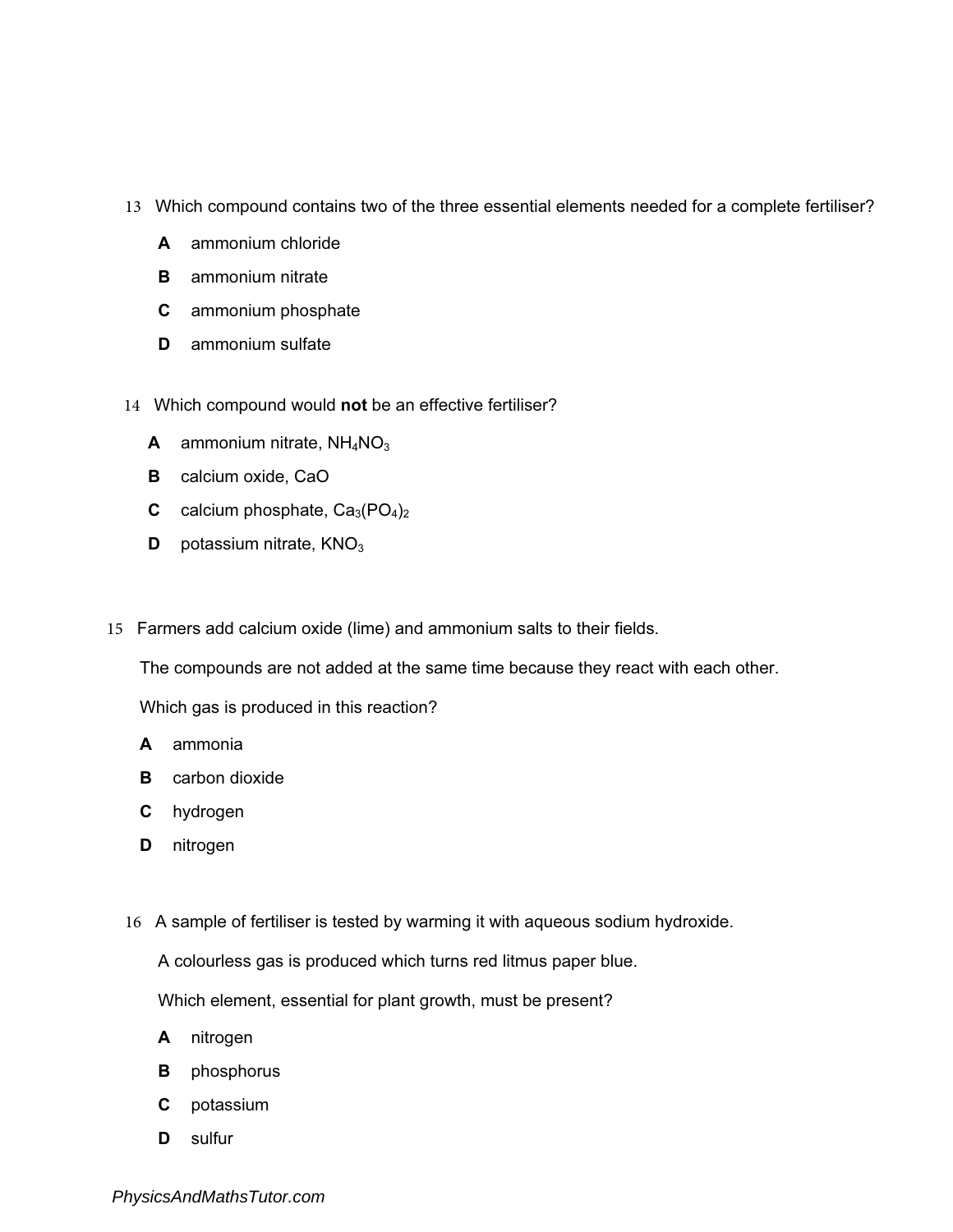- 13 Which compound contains two of the three essential elements needed for a complete fertiliser?
	- A ammonium chloride
	- **B** ammonium nitrate
	- C ammonium phosphate
	- D ammonium sulfate
- 14 Which compound would not be an effective fertiliser?
	- **A** ammonium nitrate,  $NH<sub>4</sub>NO<sub>3</sub>$
	- **B** calcium oxide, CaO
	- **C** calcium phosphate,  $Ca_3(PO_4)_2$
	- **D** potassium nitrate,  $KNO<sub>3</sub>$
- 15 Farmers add calcium oxide (lime) and ammonium salts to their fields.

The compounds are not added at the same time because they react with each other.

Which gas is produced in this reaction?

- A ammonia
- **B** carbon dioxide
- C hydrogen
- D nitrogen
- 16 A sample of fertiliser is tested by warming it with aqueous sodium hydroxide.

A colourless gas is produced which turns red litmus paper blue.

Which element, essential for plant growth, must be present?

- A nitrogen
- **B** phosphorus
- C potassium
- D sulfur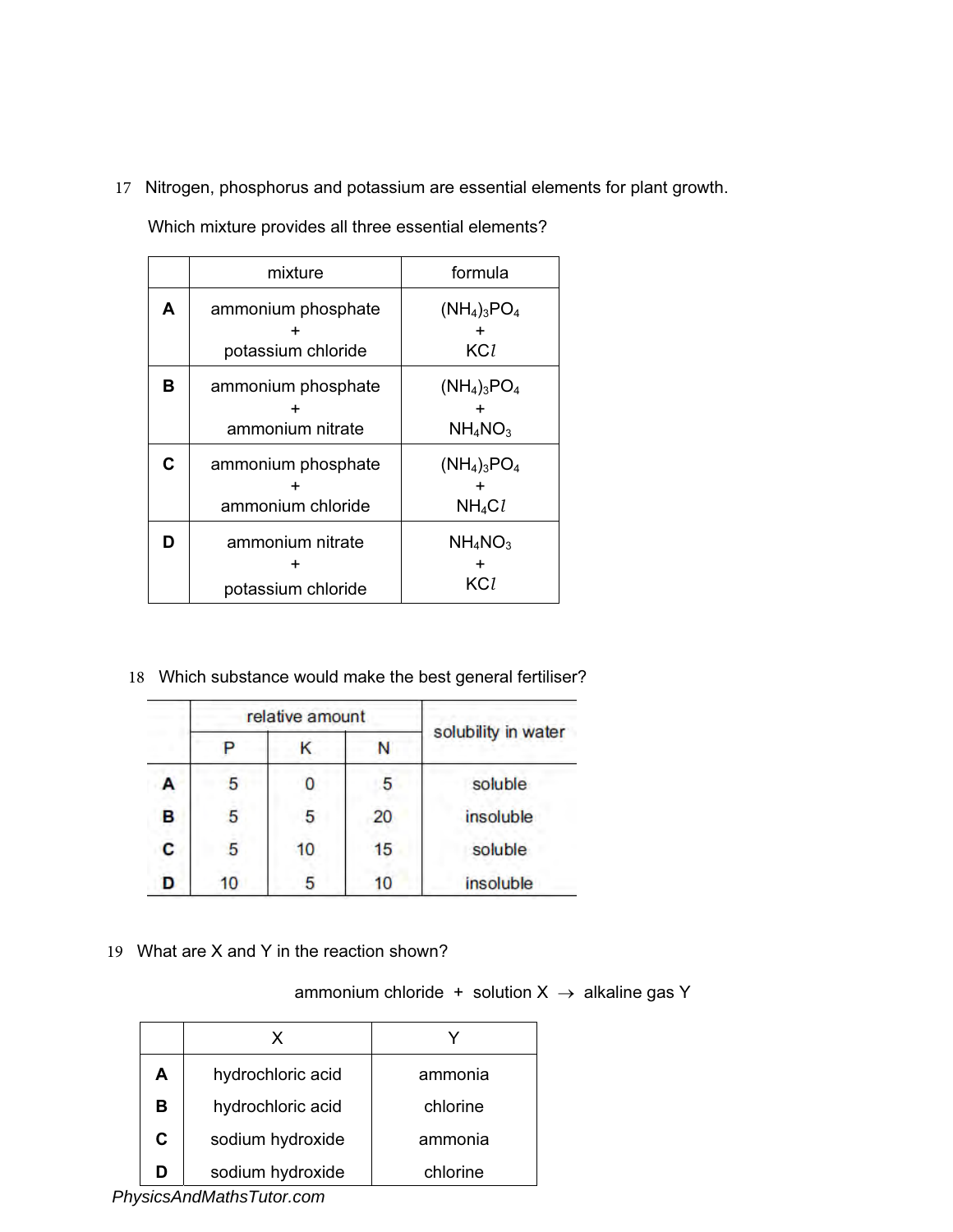17 Nitrogen, phosphorus and potassium are essential elements for plant growth.

|   | mixture                                  | formula                      |
|---|------------------------------------------|------------------------------|
| A | ammonium phosphate<br>potassium chloride | $(NH_4)_3PO_4$<br>KCl        |
| в | ammonium phosphate<br>ammonium nitrate   | $(NH_4)_3PO_4$<br>$NH_4NO_3$ |
| C | ammonium phosphate<br>ammonium chloride  | $(NH_4)_3PO_4$<br>$NH_4Cl$   |
| D | ammonium nitrate<br>potassium chloride   | $NH_4NO_3$<br>KCl            |

Which mixture provides all three essential elements?

18 Which substance would make the best general fertiliser?

|   | relative amount |    |    |                     |
|---|-----------------|----|----|---------------------|
|   |                 |    |    | solubility in water |
| А | 5               | O  | 5  | soluble             |
| B | 5               | 5  | 20 | insoluble           |
| C | 5               | 10 | 15 | soluble             |
| D | 10              | 5  | 10 | insoluble           |

19 What are X and Y in the reaction shown?

ammonium chloride + solution  $X \rightarrow$  alkaline gas Y

|   | x                 |          |
|---|-------------------|----------|
| A | hydrochloric acid | ammonia  |
| в | hydrochloric acid | chlorine |
| C | sodium hydroxide  | ammonia  |
| D | sodium hydroxide  | chlorine |

*PhysicsAndMathsTutor.com*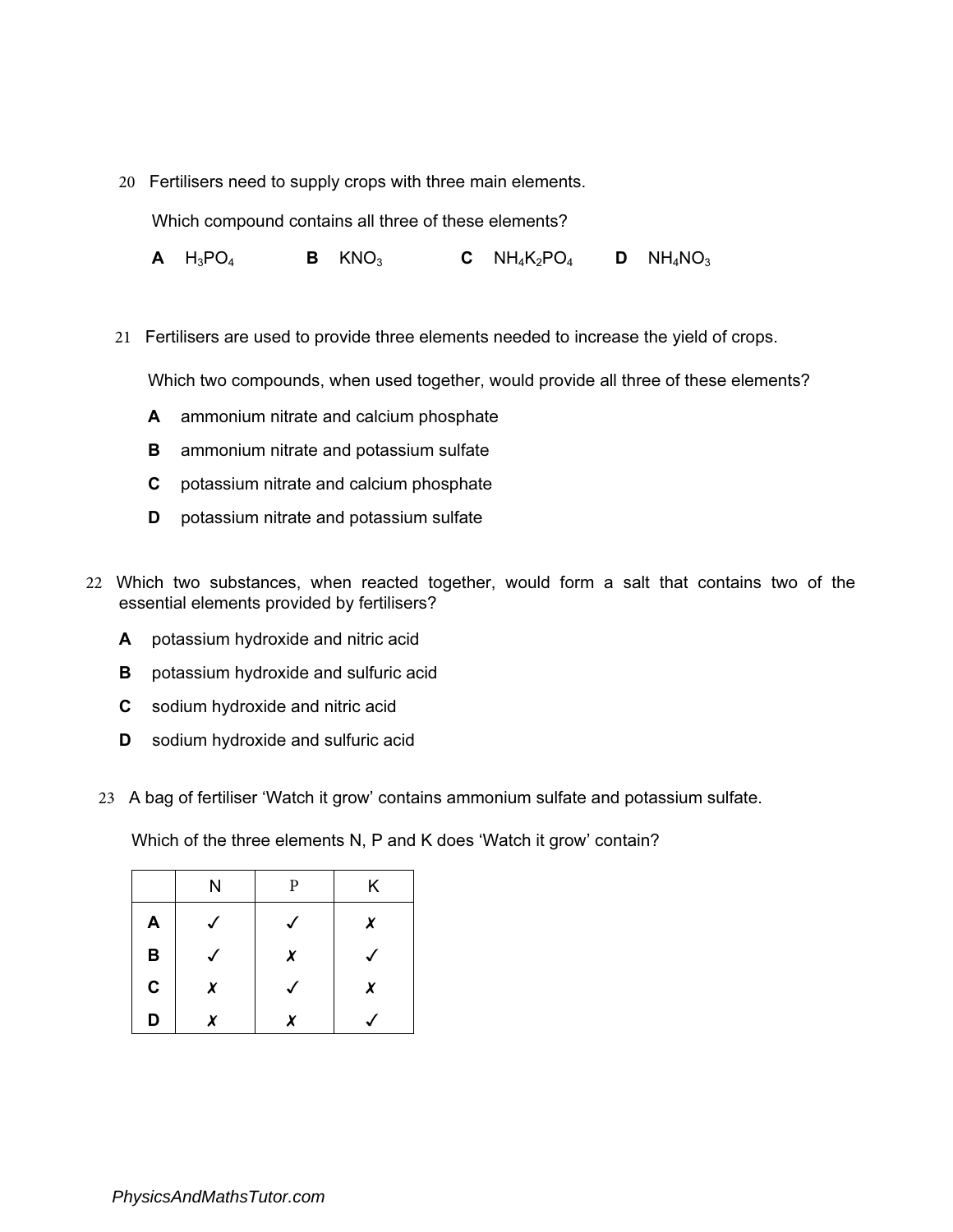20 Fertilisers need to supply crops with three main elements.

Which compound contains all three of these elements?

**A**  $H_3PO_4$  **B**  $KNO_3$  **C**  $NH_4K_2PO_4$  **D**  $NH_4NO_3$ 

21 Fertilisers are used to provide three elements needed to increase the yield of crops.

Which two compounds, when used together, would provide all three of these elements?

- A ammonium nitrate and calcium phosphate
- B ammonium nitrate and potassium sulfate
- C potassium nitrate and calcium phosphate
- **D** potassium nitrate and potassium sulfate
- 22 Which two substances, when reacted together, would form a salt that contains two of the essential elements provided by fertilisers?
	- A potassium hydroxide and nitric acid
	- **B** potassium hydroxide and sulfuric acid
	- C sodium hydroxide and nitric acid
	- **D** sodium hydroxide and sulfuric acid
	- 23 A bag of fertiliser 'Watch it grow' contains ammonium sulfate and potassium sulfate.

Which of the three elements N, P and K does 'Watch it grow' contain?

|   | N | P | Κ |
|---|---|---|---|
| Α |   |   | X |
| В |   | X |   |
| C | X |   | X |
| D | Y | x |   |